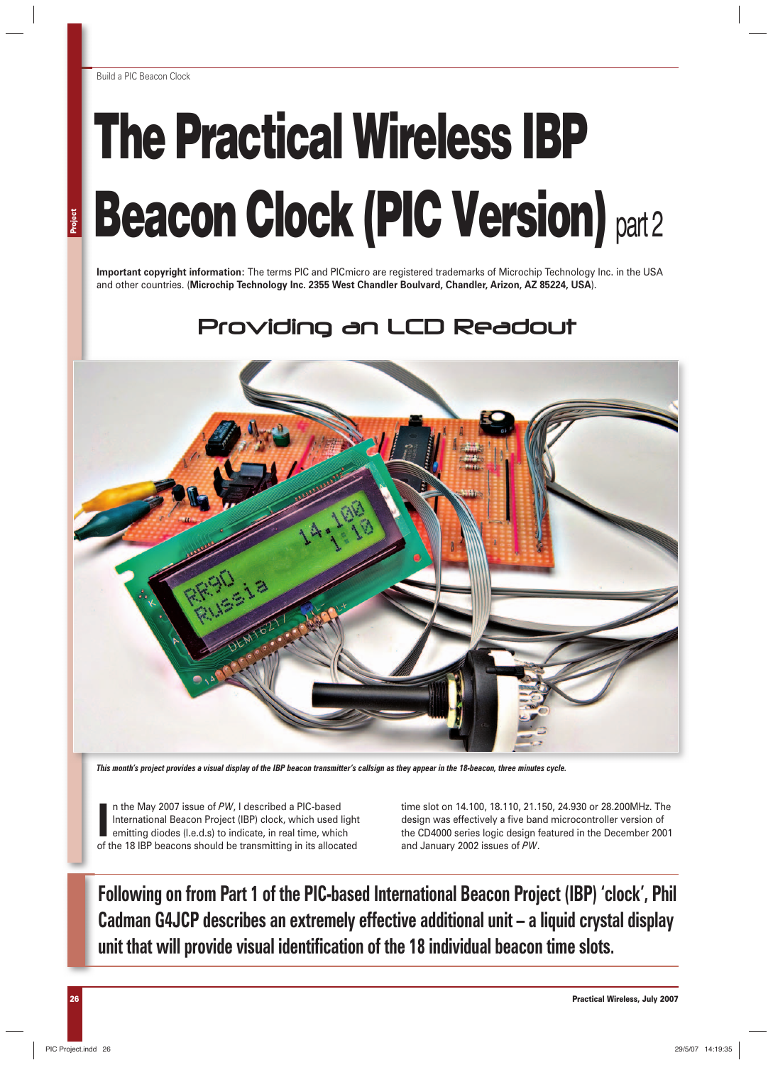# **The Practical Wireless IBP Beacon Clock (PIC Version)** part 2

**Important copyright information:** The terms PIC and PICmicro are registered trademarks of Microchip Technology Inc. in the USA and other countries. (**Microchip Technology Inc. 2355 West Chandler Boulvard, Chandler, Arizon, AZ 85224, USA**).

# Providing an LCD Readout



*This month's project provides a visual display of the IBP beacon transmitter's callsign as they appear in the 18-beacon, three minutes cycle.*

In the May 2007 issue of PW, I described a PIC-based<br>International Beacon Project (IBP) clock, which used light<br>emitting diodes (I.e.d.s) to indicate, in real time, which<br>of the 18 IBP beacons should be transmitting in its n the May 2007 issue of *PW*, I described a PIC-based International Beacon Project (IBP) clock, which used light emitting diodes (l.e.d.s) to indicate, in real time, which

time slot on 14.100, 18.110, 21.150, 24.930 or 28.200MHz. The design was effectively a five band microcontroller version of the CD4000 series logic design featured in the December 2001 and January 2002 issues of *PW*.

**Following on from Part 1 of the PIC-based International Beacon Project (IBP) 'clock', Phil Cadman G4JCP describes an extremely effective additional unit – a liquid crystal display unit that will provide visual identification of the 18 individual beacon time slots.**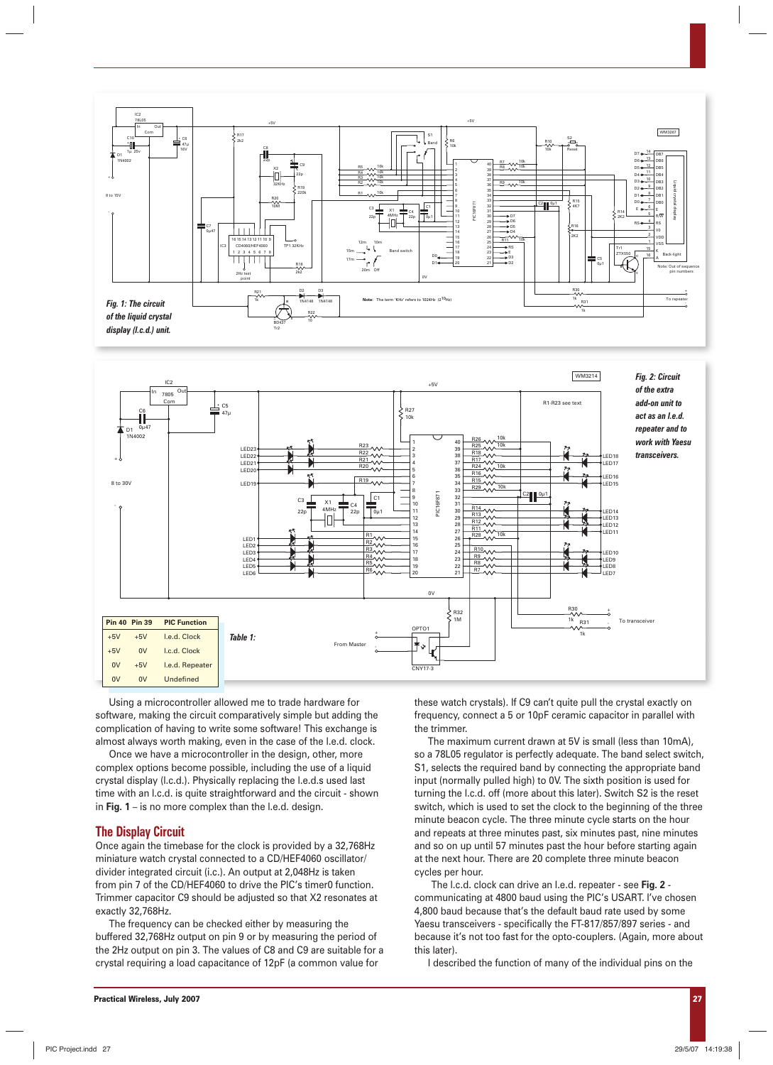



Using a microcontroller allowed me to trade hardware for software, making the circuit comparatively simple but adding the complication of having to write some software! This exchange is almost always worth making, even in the case of the l.e.d. clock.

Once we have a microcontroller in the design, other, more complex options become possible, including the use of a liquid crystal display (l.c.d.). Physically replacing the l.e.d.s used last time with an l.c.d. is quite straightforward and the circuit - shown in **Fig. 1** – is no more complex than the l.e.d. design.

## **The Display Circuit**

Once again the timebase for the clock is provided by a 32,768Hz miniature watch crystal connected to a CD/HEF4060 oscillator/ divider integrated circuit (i.c.). An output at 2,048Hz is taken from pin 7 of the CD/HEF4060 to drive the PIC's timer0 function. Trimmer capacitor C9 should be adjusted so that X2 resonates at exactly 32,768Hz.

The frequency can be checked either by measuring the buffered 32,768Hz output on pin 9 or by measuring the period of the 2Hz output on pin 3. The values of C8 and C9 are suitable for a crystal requiring a load capacitance of 12pF (a common value for

these watch crystals). If C9 can't quite pull the crystal exactly on frequency, connect a 5 or 10pF ceramic capacitor in parallel with the trimmer.

The maximum current drawn at 5V is small (less than 10mA), so a 78L05 regulator is perfectly adequate. The band select switch, S1, selects the required band by connecting the appropriate band input (normally pulled high) to 0V. The sixth position is used for turning the l.c.d. off (more about this later). Switch S2 is the reset switch, which is used to set the clock to the beginning of the three minute beacon cycle. The three minute cycle starts on the hour and repeats at three minutes past, six minutes past, nine minutes and so on up until 57 minutes past the hour before starting again at the next hour. There are 20 complete three minute beacon cycles per hour.

The l.c.d. clock can drive an l.e.d. repeater - see **Fig. 2** communicating at 4800 baud using the PIC's USART. I've chosen 4,800 baud because that's the default baud rate used by some Yaesu transceivers - specifically the FT-817/857/897 series - and because it's not too fast for the opto-couplers. (Again, more about this later).

I described the function of many of the individual pins on the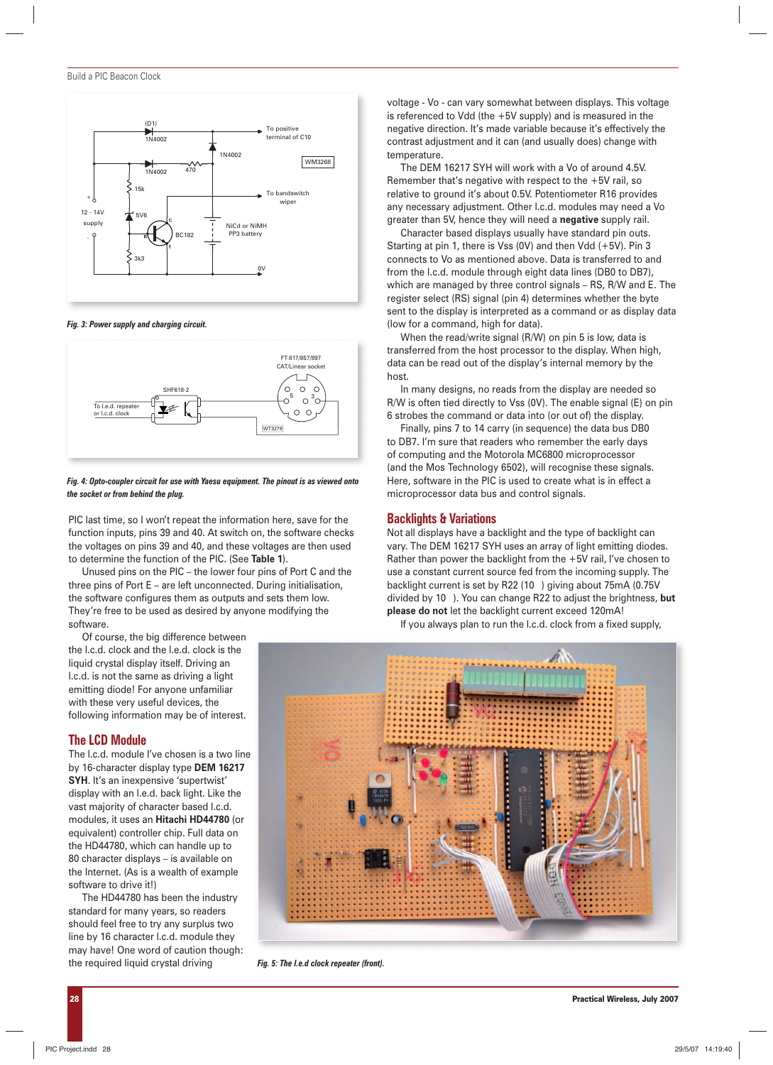

*Fig. 3: Power supply and charging circuit.*



#### *Fig. 4: Opto-coupler circuit for use with Yaesu equipment. The pinout is as viewed onto the socket or from behind the plug.*

PIC last time, so I won't repeat the information here, save for the function inputs, pins 39 and 40. At switch on, the software checks the voltages on pins 39 and 40, and these voltages are then used to determine the function of the PIC. (See **Table 1**).

Unused pins on the PIC – the lower four pins of Port C and the three pins of Port E – are left unconnected. During initialisation, the software configures them as outputs and sets them low. They're free to be used as desired by anyone modifying the software.

Of course, the big difference between the l.c.d. clock and the l.e.d. clock is the liquid crystal display itself. Driving an l.c.d. is not the same as driving a light emitting diode! For anyone unfamiliar with these very useful devices, the following information may be of interest.

#### **The LCD Module**

The l.c.d. module I've chosen is a two line by 16-character display type **DEM 16217 SYH**. It's an inexpensive 'supertwist' display with an l.e.d. back light. Like the vast majority of character based l.c.d. modules, it uses an **Hitachi HD44780** (or equivalent) controller chip. Full data on the HD44780, which can handle up to 80 character displays – is available on the Internet. (As is a wealth of example software to drive it!)

The HD44780 has been the industry standard for many years, so readers should feel free to try any surplus two line by 16 character l.c.d. module they may have! One word of caution though: the required liquid crystal driving

voltage - Vo - can vary somewhat between displays. This voltage is referenced to Vdd (the +5V supply) and is measured in the negative direction. It's made variable because it's effectively the contrast adjustment and it can (and usually does) change with temperature.

The DEM 16217 SYH will work with a Vo of around 4.5V. Remember that's negative with respect to the +5V rail, so relative to ground it's about 0.5V. Potentiometer R16 provides any necessary adjustment. Other l.c.d. modules may need a Vo greater than 5V, hence they will need a **negative** supply rail.

Character based displays usually have standard pin outs. Starting at pin 1, there is Vss (0V) and then Vdd (+5V). Pin 3 connects to Vo as mentioned above. Data is transferred to and from the l.c.d. module through eight data lines (DB0 to DB7), which are managed by three control signals – RS, R/W and E. The register select (RS) signal (pin 4) determines whether the byte sent to the display is interpreted as a command or as display data (low for a command, high for data).

When the read/write signal (R/W) on pin 5 is low, data is transferred from the host processor to the display. When high, data can be read out of the display's internal memory by the host.

In many designs, no reads from the display are needed so R/W is often tied directly to Vss (0V). The enable signal (E) on pin 6 strobes the command or data into (or out of) the display.

Finally, pins 7 to 14 carry (in sequence) the data bus DB0 to DB7. I'm sure that readers who remember the early days of computing and the Motorola MC6800 microprocessor (and the Mos Technology 6502), will recognise these signals. Here, software in the PIC is used to create what is in effect a microprocessor data bus and control signals.

# **Backlights & Variations**

Not all displays have a backlight and the type of backlight can vary. The DEM 16217 SYH uses an array of light emitting diodes. Rather than power the backlight from the +5V rail, I've chosen to use a constant current source fed from the incoming supply. The backlight current is set by R22 (10 ) giving about 75mA (0.75V divided by 10 ). You can change R22 to adjust the brightness, **but please do not** let the backlight current exceed 120mA!

If you always plan to run the l.c.d. clock from a fixed supply,



*Fig. 5: The l.e.d clock repeater (front).*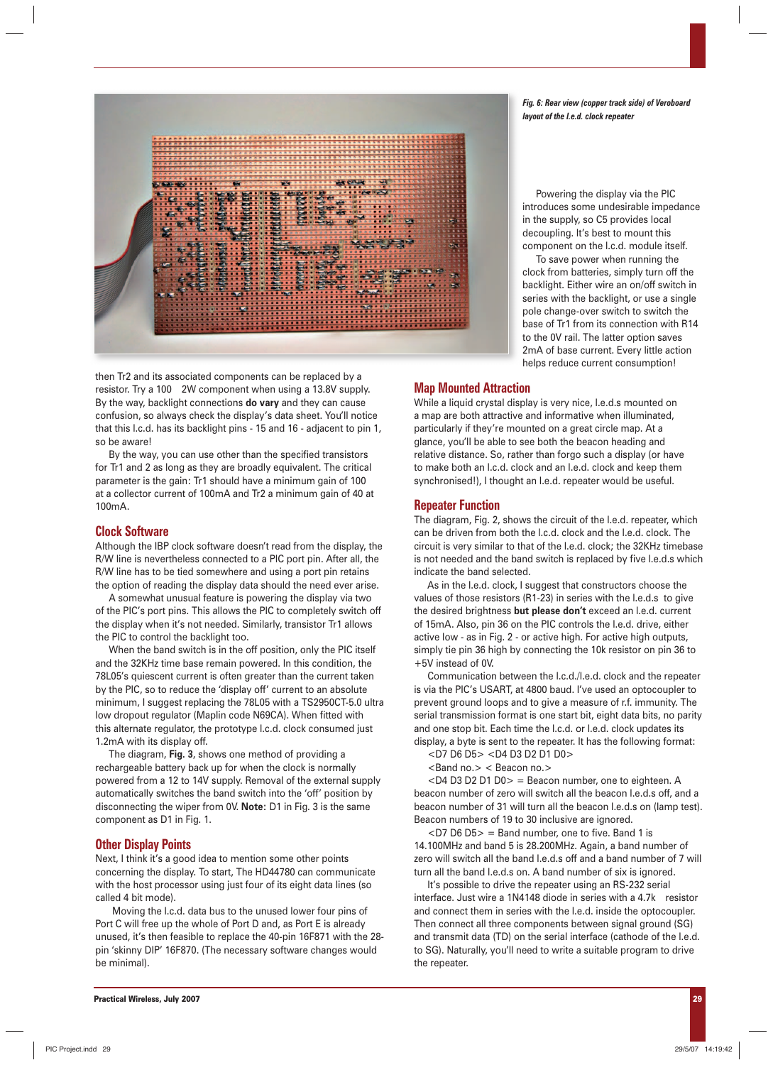

then Tr2 and its associated components can be replaced by a resistor. Try a 100 2W component when using a 13.8V supply. By the way, backlight connections **do vary** and they can cause confusion, so always check the display's data sheet. You'll notice that this l.c.d. has its backlight pins - 15 and 16 - adjacent to pin 1, so be aware!

By the way, you can use other than the specified transistors for Tr1 and 2 as long as they are broadly equivalent. The critical parameter is the gain: Tr1 should have a minimum gain of 100 at a collector current of 100mA and Tr2 a minimum gain of 40 at 100mA.

#### **Clock Software**

Although the IBP clock software doesn't read from the display, the R/W line is nevertheless connected to a PIC port pin. After all, the R/W line has to be tied somewhere and using a port pin retains the option of reading the display data should the need ever arise.

A somewhat unusual feature is powering the display via two of the PIC's port pins. This allows the PIC to completely switch off the display when it's not needed. Similarly, transistor Tr1 allows the PIC to control the backlight too.

When the band switch is in the off position, only the PIC itself and the 32KHz time base remain powered. In this condition, the 78L05's quiescent current is often greater than the current taken by the PIC, so to reduce the 'display off' current to an absolute minimum, I suggest replacing the 78L05 with a TS2950CT-5.0 ultra low dropout regulator (Maplin code N69CA). When fitted with this alternate regulator, the prototype l.c.d. clock consumed just 1.2mA with its display off.

The diagram, **Fig. 3**, shows one method of providing a rechargeable battery back up for when the clock is normally powered from a 12 to 14V supply. Removal of the external supply automatically switches the band switch into the 'off' position by disconnecting the wiper from 0V. **Note:** D1 in Fig. 3 is the same component as D1 in Fig. 1.

#### **Other Display Points**

Next, I think it's a good idea to mention some other points concerning the display. To start, The HD44780 can communicate with the host processor using just four of its eight data lines (so called 4 bit mode).

Moving the l.c.d. data bus to the unused lower four pins of Port C will free up the whole of Port D and, as Port E is already unused, it's then feasible to replace the 40-pin 16F871 with the 28 pin 'skinny DIP' 16F870. (The necessary software changes would be minimal).

*Fig. 6: Rear view (copper track side) of Veroboard layout of the l.e.d. clock repeater*

Powering the display via the PIC introduces some undesirable impedance in the supply, so C5 provides local decoupling. It's best to mount this component on the l.c.d. module itself.

To save power when running the clock from batteries, simply turn off the backlight. Either wire an on/off switch in series with the backlight, or use a single pole change-over switch to switch the base of Tr1 from its connection with R14 to the 0V rail. The latter option saves 2mA of base current. Every little action helps reduce current consumption!

#### **Map Mounted Attraction**

While a liquid crystal display is very nice, l.e.d.s mounted on a map are both attractive and informative when illuminated, particularly if they're mounted on a great circle map. At a glance, you'll be able to see both the beacon heading and relative distance. So, rather than forgo such a display (or have to make both an l.c.d. clock and an l.e.d. clock and keep them synchronised!), I thought an l.e.d. repeater would be useful.

#### **Repeater Function**

The diagram, Fig. 2, shows the circuit of the l.e.d. repeater, which can be driven from both the l.c.d. clock and the l.e.d. clock. The circuit is very similar to that of the l.e.d. clock; the 32KHz timebase is not needed and the band switch is replaced by five l.e.d.s which indicate the band selected.

As in the l.e.d. clock, I suggest that constructors choose the values of those resistors (R1-23) in series with the l.e.d.s to give the desired brightness **but please don't** exceed an l.e.d. current of 15mA. Also, pin 36 on the PIC controls the l.e.d. drive, either active low - as in Fig. 2 - or active high. For active high outputs, simply tie pin 36 high by connecting the 10k resistor on pin 36 to +5V instead of 0V.

Communication between the l.c.d./l.e.d. clock and the repeater is via the PIC's USART, at 4800 baud. I've used an optocoupler to prevent ground loops and to give a measure of r.f. immunity. The serial transmission format is one start bit, eight data bits, no parity and one stop bit. Each time the l.c.d. or l.e.d. clock updates its display, a byte is sent to the repeater. It has the following format:

<D7 D6 D5> <D4 D3 D2 D1 D0>

<Band no.> < Beacon no.>

<D4 D3 D2 D1 D0> = Beacon number, one to eighteen. A beacon number of zero will switch all the beacon l.e.d.s off, and a beacon number of 31 will turn all the beacon l.e.d.s on (lamp test). Beacon numbers of 19 to 30 inclusive are ignored.

 $<$ D7 D6 D5 $>$  = Band number, one to five. Band 1 is 14.100MHz and band 5 is 28.200MHz. Again, a band number of zero will switch all the band l.e.d.s off and a band number of 7 will turn all the band l.e.d.s on. A band number of six is ignored.

It's possible to drive the repeater using an RS-232 serial interface. Just wire a 1N4148 diode in series with a 4.7k resistor and connect them in series with the l.e.d. inside the optocoupler. Then connect all three components between signal ground (SG) and transmit data (TD) on the serial interface (cathode of the l.e.d. to SG). Naturally, you'll need to write a suitable program to drive the repeater.